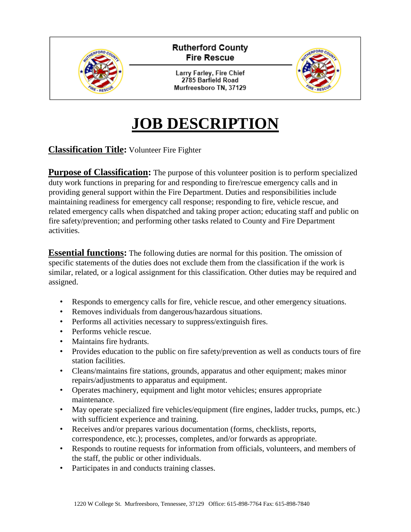

# **JOB DESCRIPTION**

### **Classification Title:** Volunteer Fire Fighter

**Purpose of Classification:** The purpose of this volunteer position is to perform specialized duty work functions in preparing for and responding to fire/rescue emergency calls and in providing general support within the Fire Department. Duties and responsibilities include maintaining readiness for emergency call response; responding to fire, vehicle rescue, and related emergency calls when dispatched and taking proper action; educating staff and public on fire safety/prevention; and performing other tasks related to County and Fire Department activities.

**Essential functions:** The following duties are normal for this position. The omission of specific statements of the duties does not exclude them from the classification if the work is similar, related, or a logical assignment for this classification. Other duties may be required and assigned.

- Responds to emergency calls for fire, vehicle rescue, and other emergency situations.
- Removes individuals from dangerous/hazardous situations.
- Performs all activities necessary to suppress/extinguish fires.
- Performs vehicle rescue.
- Maintains fire hydrants.
- Provides education to the public on fire safety/prevention as well as conducts tours of fire station facilities.
- Cleans/maintains fire stations, grounds, apparatus and other equipment; makes minor repairs/adjustments to apparatus and equipment.
- Operates machinery, equipment and light motor vehicles; ensures appropriate maintenance.
- May operate specialized fire vehicles/equipment (fire engines, ladder trucks, pumps, etc.) with sufficient experience and training.
- Receives and/or prepares various documentation (forms, checklists, reports, correspondence, etc.); processes, completes, and/or forwards as appropriate.
- Responds to routine requests for information from officials, volunteers, and members of the staff, the public or other individuals.
- Participates in and conducts training classes.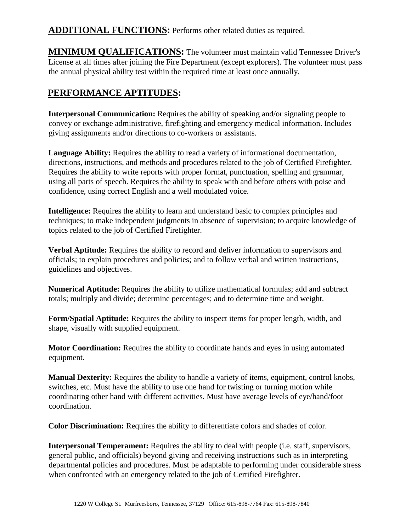**ADDITIONAL FUNCTIONS:** Performs other related duties as required.

**MINIMUM QUALIFICATIONS:** The volunteer must maintain valid Tennessee Driver's License at all times after joining the Fire Department (except explorers). The volunteer must pass the annual physical ability test within the required time at least once annually.

# **PERFORMANCE APTITUDES:**

**Interpersonal Communication:** Requires the ability of speaking and/or signaling people to convey or exchange administrative, firefighting and emergency medical information. Includes giving assignments and/or directions to co-workers or assistants.

**Language Ability:** Requires the ability to read a variety of informational documentation, directions, instructions, and methods and procedures related to the job of Certified Firefighter. Requires the ability to write reports with proper format, punctuation, spelling and grammar, using all parts of speech. Requires the ability to speak with and before others with poise and confidence, using correct English and a well modulated voice.

**Intelligence:** Requires the ability to learn and understand basic to complex principles and techniques; to make independent judgments in absence of supervision; to acquire knowledge of topics related to the job of Certified Firefighter.

**Verbal Aptitude:** Requires the ability to record and deliver information to supervisors and officials; to explain procedures and policies; and to follow verbal and written instructions, guidelines and objectives.

**Numerical Aptitude:** Requires the ability to utilize mathematical formulas; add and subtract totals; multiply and divide; determine percentages; and to determine time and weight.

**Form/Spatial Aptitude:** Requires the ability to inspect items for proper length, width, and shape, visually with supplied equipment.

**Motor Coordination:** Requires the ability to coordinate hands and eyes in using automated equipment.

**Manual Dexterity:** Requires the ability to handle a variety of items, equipment, control knobs, switches, etc. Must have the ability to use one hand for twisting or turning motion while coordinating other hand with different activities. Must have average levels of eye/hand/foot coordination.

**Color Discrimination:** Requires the ability to differentiate colors and shades of color.

**Interpersonal Temperament:** Requires the ability to deal with people (i.e. staff, supervisors, general public, and officials) beyond giving and receiving instructions such as in interpreting departmental policies and procedures. Must be adaptable to performing under considerable stress when confronted with an emergency related to the job of Certified Firefighter.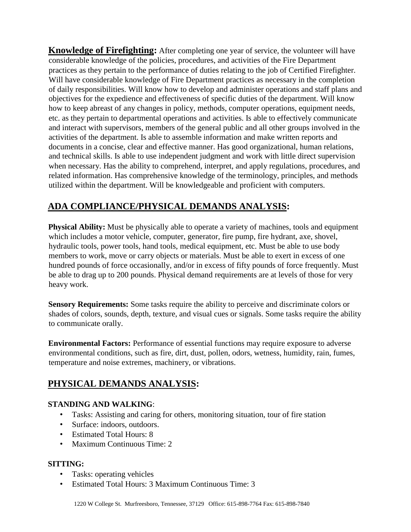**Knowledge of Firefighting:** After completing one year of service, the volunteer will have considerable knowledge of the policies, procedures, and activities of the Fire Department practices as they pertain to the performance of duties relating to the job of Certified Firefighter. Will have considerable knowledge of Fire Department practices as necessary in the completion of daily responsibilities. Will know how to develop and administer operations and staff plans and objectives for the expedience and effectiveness of specific duties of the department. Will know how to keep abreast of any changes in policy, methods, computer operations, equipment needs, etc. as they pertain to departmental operations and activities. Is able to effectively communicate and interact with supervisors, members of the general public and all other groups involved in the activities of the department. Is able to assemble information and make written reports and documents in a concise, clear and effective manner. Has good organizational, human relations, and technical skills. Is able to use independent judgment and work with little direct supervision when necessary. Has the ability to comprehend, interpret, and apply regulations, procedures, and related information. Has comprehensive knowledge of the terminology, principles, and methods utilized within the department. Will be knowledgeable and proficient with computers.

# **ADA COMPLIANCE/PHYSICAL DEMANDS ANALYSIS:**

**Physical Ability:** Must be physically able to operate a variety of machines, tools and equipment which includes a motor vehicle, computer, generator, fire pump, fire hydrant, axe, shovel, hydraulic tools, power tools, hand tools, medical equipment, etc. Must be able to use body members to work, move or carry objects or materials. Must be able to exert in excess of one hundred pounds of force occasionally, and/or in excess of fifty pounds of force frequently. Must be able to drag up to 200 pounds. Physical demand requirements are at levels of those for very heavy work.

**Sensory Requirements:** Some tasks require the ability to perceive and discriminate colors or shades of colors, sounds, depth, texture, and visual cues or signals. Some tasks require the ability to communicate orally.

**Environmental Factors:** Performance of essential functions may require exposure to adverse environmental conditions, such as fire, dirt, dust, pollen, odors, wetness, humidity, rain, fumes, temperature and noise extremes, machinery, or vibrations.

## **PHYSICAL DEMANDS ANALYSIS:**

#### **STANDING AND WALKING**:

- Tasks: Assisting and caring for others, monitoring situation, tour of fire station
- Surface: indoors, outdoors.
- Estimated Total Hours: 8
- Maximum Continuous Time: 2

#### **SITTING:**

- Tasks: operating vehicles
- Estimated Total Hours: 3 Maximum Continuous Time: 3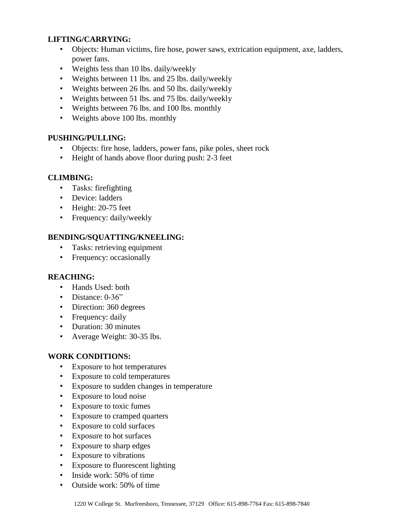#### **LIFTING/CARRYING:**

- Objects: Human victims, fire hose, power saws, extrication equipment, axe, ladders, power fans.
- Weights less than 10 lbs. daily/weekly
- Weights between 11 lbs. and 25 lbs. daily/weekly
- Weights between 26 lbs. and 50 lbs. daily/weekly
- Weights between 51 lbs. and 75 lbs. daily/weekly
- Weights between 76 lbs. and 100 lbs. monthly
- Weights above 100 lbs. monthly

#### **PUSHING/PULLING:**

- Objects: fire hose, ladders, power fans, pike poles, sheet rock
- Height of hands above floor during push: 2-3 feet

#### **CLIMBING:**

- Tasks: firefighting
- Device: ladders
- Height: 20-75 feet
- Frequency: daily/weekly

#### **BENDING/SQUATTING/KNEELING:**

- Tasks: retrieving equipment
- Frequency: occasionally

#### **REACHING:**

- Hands Used: both
- Distance: 0-36"
- Direction: 360 degrees
- Frequency: daily
- Duration: 30 minutes
- Average Weight: 30-35 lbs.

#### **WORK CONDITIONS:**

- Exposure to hot temperatures
- Exposure to cold temperatures
- Exposure to sudden changes in temperature
- Exposure to loud noise
- Exposure to toxic fumes
- Exposure to cramped quarters
- Exposure to cold surfaces
- Exposure to hot surfaces
- Exposure to sharp edges
- Exposure to vibrations
- Exposure to fluorescent lighting
- Inside work: 50% of time
- Outside work: 50% of time